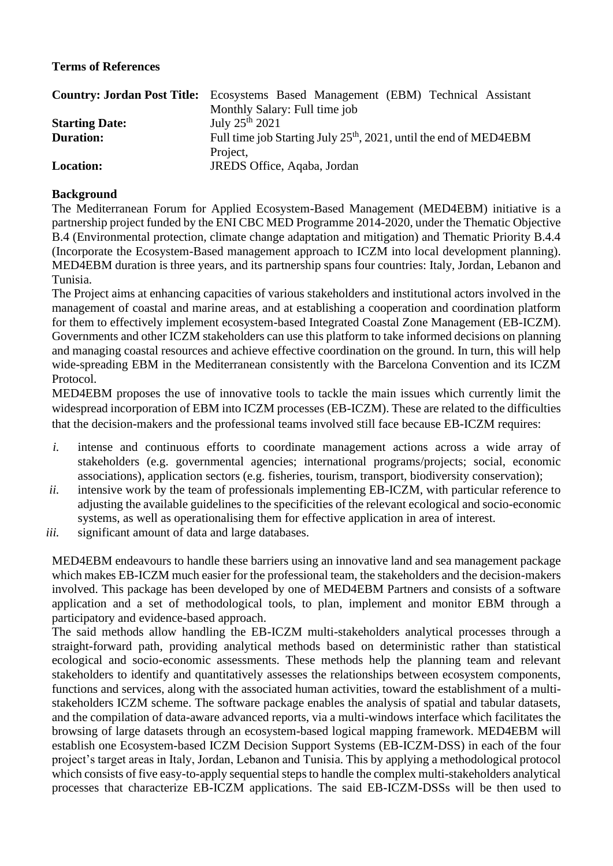# **Terms of References**

|                       | <b>Country: Jordan Post Title:</b> Ecosystems Based Management (EBM) Technical Assistant |
|-----------------------|------------------------------------------------------------------------------------------|
|                       | Monthly Salary: Full time job                                                            |
| <b>Starting Date:</b> | July $25^{th}$ 2021                                                                      |
| <b>Duration:</b>      | Full time job Starting July 25 <sup>th</sup> , 2021, until the end of MED4EBM            |
|                       | Project,                                                                                 |
| <b>Location:</b>      | JREDS Office, Aqaba, Jordan                                                              |

### **Background**

The Mediterranean Forum for Applied Ecosystem-Based Management (MED4EBM) initiative is a partnership project funded by the ENI CBC MED Programme 2014-2020, under the Thematic Objective B.4 (Environmental protection, climate change adaptation and mitigation) and Thematic Priority B.4.4 (Incorporate the Ecosystem-Based management approach to ICZM into local development planning). MED4EBM duration is three years, and its partnership spans four countries: Italy, Jordan, Lebanon and Tunisia.

The Project aims at enhancing capacities of various stakeholders and institutional actors involved in the management of coastal and marine areas, and at establishing a cooperation and coordination platform for them to effectively implement ecosystem-based Integrated Coastal Zone Management (EB-ICZM). Governments and other ICZM stakeholders can use this platform to take informed decisions on planning and managing coastal resources and achieve effective coordination on the ground. In turn, this will help wide-spreading EBM in the Mediterranean consistently with the Barcelona Convention and its ICZM Protocol.

MED4EBM proposes the use of innovative tools to tackle the main issues which currently limit the widespread incorporation of EBM into ICZM processes (EB-ICZM). These are related to the difficulties that the decision-makers and the professional teams involved still face because EB-ICZM requires:

- *i.* intense and continuous efforts to coordinate management actions across a wide array of stakeholders (e.g. governmental agencies; international programs/projects; social, economic associations), application sectors (e.g. fisheries, tourism, transport, biodiversity conservation);
- *ii.* intensive work by the team of professionals implementing EB-ICZM, with particular reference to adjusting the available guidelines to the specificities of the relevant ecological and socio-economic systems, as well as operationalising them for effective application in area of interest.
- *iii.* significant amount of data and large databases.

MED4EBM endeavours to handle these barriers using an innovative land and sea management package which makes EB-ICZM much easier for the professional team, the stakeholders and the decision-makers involved. This package has been developed by one of MED4EBM Partners and consists of a software application and a set of methodological tools, to plan, implement and monitor EBM through a participatory and evidence-based approach.

The said methods allow handling the EB-ICZM multi-stakeholders analytical processes through a straight-forward path, providing analytical methods based on deterministic rather than statistical ecological and socio-economic assessments. These methods help the planning team and relevant stakeholders to identify and quantitatively assesses the relationships between ecosystem components, functions and services, along with the associated human activities, toward the establishment of a multistakeholders ICZM scheme. The software package enables the analysis of spatial and tabular datasets, and the compilation of data-aware advanced reports, via a multi-windows interface which facilitates the browsing of large datasets through an ecosystem-based logical mapping framework. MED4EBM will establish one Ecosystem-based ICZM Decision Support Systems (EB-ICZM-DSS) in each of the four project's target areas in Italy, Jordan, Lebanon and Tunisia. This by applying a methodological protocol which consists of five easy-to-apply sequential steps to handle the complex multi-stakeholders analytical processes that characterize EB-ICZM applications. The said EB-ICZM-DSSs will be then used to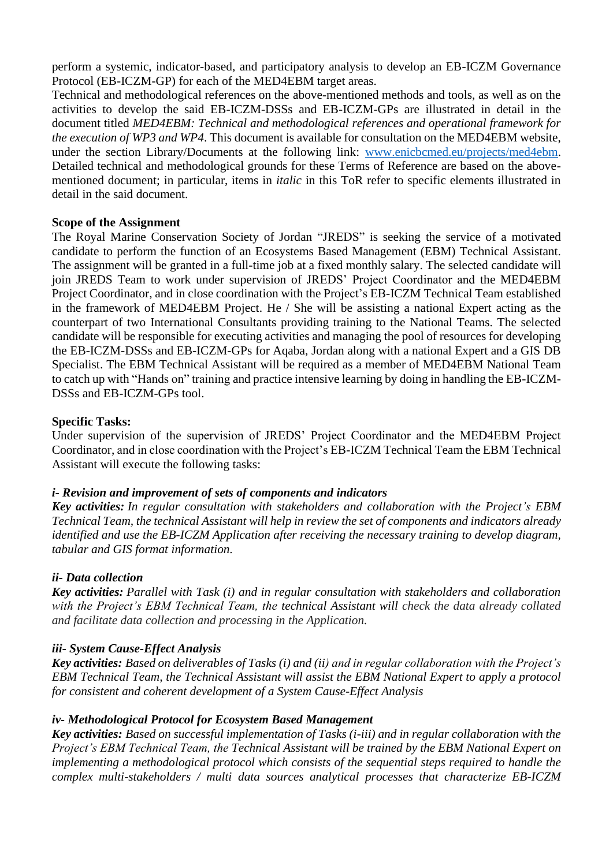perform a systemic, indicator-based, and participatory analysis to develop an EB-ICZM Governance Protocol (EB-ICZM-GP) for each of the MED4EBM target areas.

Technical and methodological references on the above-mentioned methods and tools, as well as on the activities to develop the said EB-ICZM-DSSs and EB-ICZM-GPs are illustrated in detail in the document titled *MED4EBM: Technical and methodological references and operational framework for the execution of WP3 and WP4*. This document is available for consultation on the MED4EBM website, under the section Library/Documents at the following link: [www.enicbcmed.eu/projects/med4ebm.](http://www.enicbcmed.eu/projects/med4ebm) Detailed technical and methodological grounds for these Terms of Reference are based on the abovementioned document; in particular, items in *italic* in this ToR refer to specific elements illustrated in detail in the said document.

### **Scope of the Assignment**

The Royal Marine Conservation Society of Jordan "JREDS" is seeking the service of a motivated candidate to perform the function of an Ecosystems Based Management (EBM) Technical Assistant. The assignment will be granted in a full-time job at a fixed monthly salary. The selected candidate will join JREDS Team to work under supervision of JREDS' Project Coordinator and the MED4EBM Project Coordinator, and in close coordination with the Project's EB-ICZM Technical Team established in the framework of MED4EBM Project. He / She will be assisting a national Expert acting as the counterpart of two International Consultants providing training to the National Teams. The selected candidate will be responsible for executing activities and managing the pool of resources for developing the EB-ICZM-DSSs and EB-ICZM-GPs for Aqaba, Jordan along with a national Expert and a GIS DB Specialist. The EBM Technical Assistant will be required as a member of MED4EBM National Team to catch up with "Hands on" training and practice intensive learning by doing in handling the EB-ICZM-DSSs and EB-ICZM-GPs tool.

### **Specific Tasks:**

Under supervision of the supervision of JREDS' Project Coordinator and the MED4EBM Project Coordinator, and in close coordination with the Project's EB-ICZM Technical Team the EBM Technical Assistant will execute the following tasks:

# *i- Revision and improvement of sets of components and indicators*

*Key activities: In regular consultation with stakeholders and collaboration with the Project's EBM Technical Team, the technical Assistant will help in review the set of components and indicators already identified and use the EB-ICZM Application after receiving the necessary training to develop diagram, tabular and GIS format information.*

### *ii- Data collection*

*Key activities: Parallel with Task (i) and in regular consultation with stakeholders and collaboration with the Project's EBM Technical Team, the technical Assistant will check the data already collated and facilitate data collection and processing in the Application.*

### *iii- System Cause-Effect Analysis*

*Key activities: Based on deliverables of Tasks (i) and (ii) and in regular collaboration with the Project's EBM Technical Team, the Technical Assistant will assist the EBM National Expert to apply a protocol for consistent and coherent development of a System Cause-Effect Analysis*

### *iv- Methodological Protocol for Ecosystem Based Management*

*Key activities: Based on successful implementation of Tasks (i-iii) and in regular collaboration with the Project's EBM Technical Team, the Technical Assistant will be trained by the EBM National Expert on implementing a methodological protocol which consists of the sequential steps required to handle the complex multi-stakeholders / multi data sources analytical processes that characterize EB-ICZM*